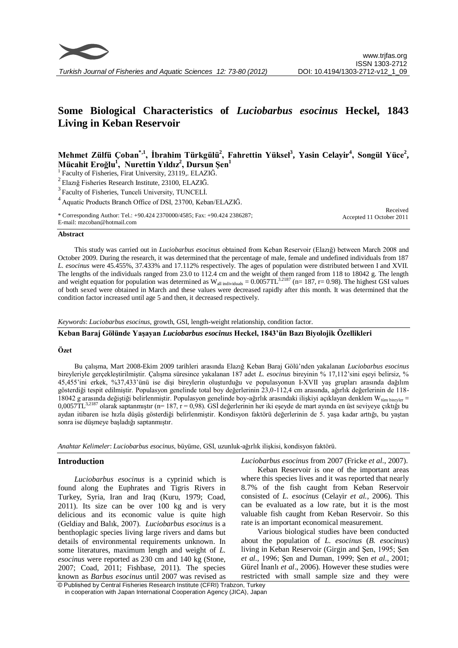

# **Some Biological Characteristics of** *Luciobarbus esocinus* **Heckel, 1843 Living in Keban Reservoir**

# **Mehmet Zülfü Çoban\*,1, İbrahim Türkgülü<sup>2</sup> , Fahrettin Yüksel<sup>3</sup> , Yasin Celayir<sup>4</sup> , Songül Yüce<sup>2</sup> , Mücahit Eroğlu<sup>1</sup> , Nurettin Yıldız<sup>2</sup> , Dursun Şen<sup>1</sup>**

<sup>1</sup> Faculty of Fisheries, Firat University, 23119,. ELAZIĞ.

<sup>2</sup>Elazığ Fisheries Research Institute, 23100, ELAZIĞ.

<sup>3</sup> Faculty of Fisheries, Tunceli University, TUNCELİ.

<sup>4</sup>Aquatic Products Branch Office of DSI, 23700, Keban/ELAZIĞ.

\* Corresponding Author: Tel.: +90.424 2370000/4585; Fax: +90.424 2386287; E-mail: mzcoban@hotmail.com

#### Received Accepted 11 October 2011

#### **Abstract**

This study was carried out in *Luciobarbus esocinus* obtained from Keban Reservoir (Elazığ) between March 2008 and October 2009. During the research, it was determined that the percentage of male, female and undefined individuals from 187 *L. esocinus* were 45.455%, 37.433% and 17.112% respectively. The ages of population were distributed between I and XVII. The lengths of the individuals ranged from 23.0 to 112.4 cm and the weight of them ranged from 118 to 18042 g. The length and weight equation for population was determined as  $W_{all~individuals} = 0.0057TL^{3.2187}$  (n= 187, r= 0.98). The highest GSI values of both sexed were obtained in March and these values were decreased rapidly after this month. It was determined that the condition factor increased until age 5 and then, it decreased respectively.

*Keywords*: *Luciobarbus esocinus*, growth, GSI, length-weight relationship, condition factor.

# **Keban Baraj Gölünde Yaşayan** *Luciobarbus esocinus* **Heckel, 1843'ün Bazı Biyolojik Özellikleri**

## **Özet**

Bu çalıĢma, Mart 2008-Ekim 2009 tarihleri arasında Elazığ Keban Baraj Gölü'nden yakalanan *Luciobarbus esocinus*  bireyleriyle gerçekleştirilmiştir. Çalışma süresince yakalanan 187 adet *L. esocinus* bireyinin % 17,112'sini eşeyi belirsiz, % 45,455'ini erkek, %37,433'ünü ise dişi bireylerin oluşturduğu ve populasyonun I-XVII yaş grupları arasında dağılım gösterdiği tespit edilmiştir. Populasyon genelinde total boy değerlerinin 23,0-112,4 cm arasında, ağırlık değerlerinin de 118-18042 g arasında değiştiği belirlenmiştir. Populasyon genelinde boy-ağırlık arasındaki ilişkiyi açıklayan denklem W<sub>tüm bireyler</sub> = 0,0057TL<sup>3,2187</sup> olarak saptanmıştır (n= 187, r = 0,98). GSİ değerlerinin her iki eşeyde de mart ayında en üst seviyeye çıktığı bu aydan itibaren ise hızla düşüş gösterdiği belirlenmiştir. Kondisyon faktörü değerlerinin de 5. yaşa kadar arttığı, bu yaştan sonra ise düşmeye başladığı saptanmıştır.

*Anahtar Kelimeler*: *Luciobarbus esocinus*, büyüme, GSI, uzunluk-ağırlık iliĢkisi, kondisyon faktörü.

#### **Introduction**

*Luciobarbus esocinus* is a cyprinid which is found along the Euphrates and Tigris Rivers in Turkey, Syria, Iran and Iraq (Kuru, 1979; Coad, 2011). Its size can be over 100 kg and is very delicious and its economic value is quite high (Geldiay and Balık, 2007). *Luciobarbus esocinus* is a benthoplagic species living large rivers and dams but details of environmental requirements unknown. In some literatures, maximum length and weight of *L. esocinus* were reported as 230 cm and 140 kg (Stone, 2007; Coad, 2011; Fishbase, 2011). The species known as *Barbus esocinus* until 2007 was revised as *Luciobarbus esocinus* from 2007 (Fricke *et al*., 2007).

Keban Reservoir is one of the important areas where this species lives and it was reported that nearly 8.7% of the fish caught from Keban Reservoir consisted of *L. esocinus* (Celayir *et al.,* 2006). This can be evaluated as a low rate, but it is the most valuable fish caught from Keban Reservoir. So this rate is an important economical measurement.

Various biological studies have been conducted about the population of *L. esocinus* (*B. esocinus*) living in Keban Reservoir (Girgin and Sen, 1995; Sen *et al.,* 1996; ġen and Duman, 1999; ġen *et al*., 2001; Gürel İnanlı *et al.*, 2006). However these studies were restricted with small sample size and they were

<sup>©</sup> Published by Central Fisheries Research Institute (CFRI) Trabzon, Turkey in cooperation with Japan International Cooperation Agency (JICA), Japan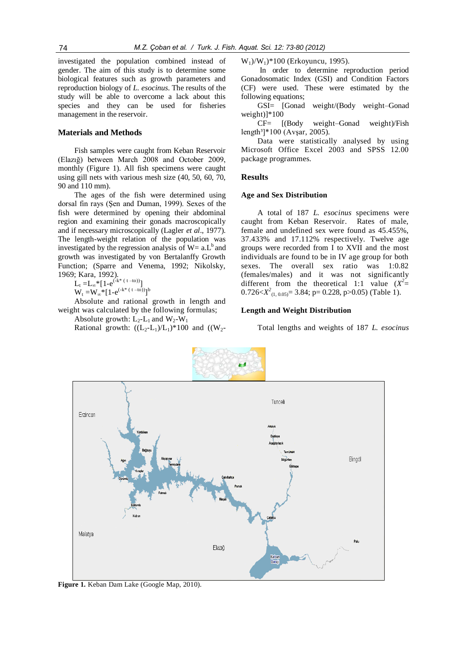investigated the population combined instead of gender. The aim of this study is to determine some biological features such as growth parameters and reproduction biology of *L. esocinus*. The results of the study will be able to overcome a lack about this species and they can be used for fisheries management in the reservoir.

#### **Materials and Methods**

Fish samples were caught from Keban Reservoir (Elazığ) between March 2008 and October 2009, monthly (Figure 1). All fish specimens were caught using gill nets with various mesh size (40, 50, 60, 70, 90 and 110 mm).

The ages of the fish were determined using dorsal fin rays (Şen and Duman, 1999). Sexes of the fish were determined by opening their abdominal region and examining their gonads macroscopically and if necessary microscopically (Lagler *et al*., 1977). The length-weight relation of the population was investigated by the regression analysis of  $W= a.L<sup>b</sup>$  and growth was investigated by von Bertalanffy Growth Function; (Sparre and Venema, 1992; Nikolsky, 1969; Kara, 1992).

 $L_t = L_{\infty} * [1 - e^{(-k^* (t - t_0))}]$ 

 $W_t = W_\infty * [1 - e^{(-k^* (t - t_0))}]^b$ 

Absolute and rational growth in length and weight was calculated by the following formulas; Absolute growth:  $L_2$ - $L_1$  and  $W_2-W_1$ 

Rational growth:  $((L_2-L_1)/L_1)^*100$  and  $((W_2-L_1)/L_1)^*100$ 

 $W_1$ / $W_1$ <sup>\*</sup>100 (Erkoyuncu, 1995).

In order to determine reproduction period Gonadosomatic Index (GSI) and Condition Factors (CF) were used. These were estimated by the following equations;

GSI= [Gonad weight/(Body weight–Gonad weight)]\*100

CF= [(Body weight–Gonad weight)/Fish  $length<sup>3</sup>$ <sup>\*</sup>100 (Avsar, 2005).

Data were statistically analysed by using Microsoft Office Excel 2003 and SPSS 12.00 package programmes.

#### **Results**

#### **Age and Sex Distribution**

A total of 187 *L. esocinus* specimens were caught from Keban Reservoir. Rates of male, female and undefined sex were found as 45.455%, 37.433% and 17.112% respectively. Twelve age groups were recorded from I to XVII and the most individuals are found to be in IV age group for both sexes. The overall sex ratio was 1:0.82 (females/males) and it was not significantly different from the theoretical 1:1 value  $(X^2 =$  $0.726 < X^2_{(1, 0.05)} = 3.84$ ; p= 0.228, p>0.05) (Table 1).

#### **Length and Weight Distribution**

Total lengths and weights of 187 *L. esocinus* 



**Figure 1.** Keban Dam Lake (Google Map, 2010).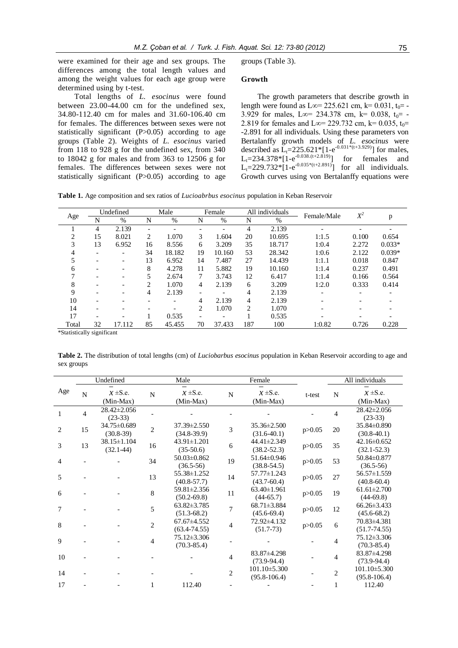were examined for their age and sex groups. The differences among the total length values and among the weight values for each age group were determined using by t-test.

Total lengths of *L. esocinus* were found between 23.00-44.00 cm for the undefined sex, 34.80-112.40 cm for males and 31.60-106.40 cm for females. The differences between sexes were not statistically significant  $(P>0.05)$  according to age groups (Table 2). Weights of *L. esocinus* varied from 118 to 928 g for the undefined sex, from 340 to 18042 g for males and from 363 to 12506 g for females. The differences between sexes were not statistically significant  $(P>0.05)$  according to age groups (Table 3).

#### **Growth**

The growth parameters that describe growth in length were found as L∞= 225.621 cm, k= 0.031, t<sub>0</sub>= -3.929 for males, L∞= 234.378 cm, k= 0.038,  $t_0$ = -2.819 for females and L∞= 229.732 cm, k= 0.035, t<sub>0</sub>= -2.891 for all individuals. Using these parameters von Bertalanffy growth models of *L. esocinus* were described as  $\bar{L}_t = 225.621^* [1-e^{-0.031^*(t+3.929)}]$  for males,  $L_t = 234.378 * [1 - e^{-0.038 \cdot (t + 2.819)}]$  for females and  $L_t = 229.732 \cdot [1 - e^{-0.035 \cdot (t + 2.891)}]$  for all individuals. Growth curves using von Bertalanffy equations were

**Table 1.** Age composition and sex ratios of *Lucioabrbus esocinus* population in Keban Reservoir

|                |                          | Undefined |                          | Male   |                          | Female                   |     | All individuals | Female/Male              | $X^2$ |          |
|----------------|--------------------------|-----------|--------------------------|--------|--------------------------|--------------------------|-----|-----------------|--------------------------|-------|----------|
| Age            | N                        | $\%$      | N                        | %      | N                        | $\%$                     | N   | $\%$            |                          |       | p        |
|                | 4                        | 2.139     | $\overline{\phantom{a}}$ |        |                          |                          | 4   | 2.139           | $\overline{\phantom{0}}$ |       |          |
| $\overline{c}$ | 15                       | 8.021     | $\overline{c}$           | 1.070  | 3                        | 1.604                    | 20  | 10.695          | 1:1.5                    | 0.100 | 0.654    |
| 3              | 13                       | 6.952     | 16                       | 8.556  | 6                        | 3.209                    | 35  | 18.717          | 1:0.4                    | 2.272 | $0.033*$ |
| 4              | $\overline{\phantom{0}}$ |           | 34                       | 18.182 | 19                       | 10.160                   | 53  | 28.342          | 1:0.6                    | 2.122 | $0.039*$ |
|                |                          |           | 13                       | 6.952  | 14                       | 7.487                    | 27  | 14.439          | 1:1.1                    | 0.018 | 0.847    |
| 6              |                          |           | 8                        | 4.278  | 11                       | 5.882                    | 19  | 10.160          | 1:1.4                    | 0.237 | 0.491    |
|                | $\overline{\phantom{0}}$ |           | 5                        | 2.674  | 7                        | 3.743                    | 12  | 6.417           | 1:1.4                    | 0.166 | 0.564    |
| 8              |                          |           | $\mathfrak{D}$           | 1.070  | $\overline{4}$           | 2.139                    | 6   | 3.209           | 1:2.0                    | 0.333 | 0.414    |
| 9              | $\overline{\phantom{0}}$ |           | 4                        | 2.139  | $\overline{\phantom{a}}$ | $\overline{\phantom{0}}$ | 4   | 2.139           | $\overline{a}$           |       |          |
| 10             |                          |           |                          |        | 4                        | 2.139                    | 4   | 2.139           |                          |       |          |
| 14             |                          |           |                          |        | 2                        | 1.070                    | 2   | 1.070           |                          |       |          |
| 17             |                          |           |                          | 0.535  | $\qquad \qquad$          |                          |     | 0.535           |                          |       |          |
| Total          | 32                       | 17.112    | 85                       | 45.455 | 70                       | 37.433                   | 187 | 100             | 1:0.82                   | 0.726 | 0.228    |

\*Statistically significant

**Table 2.** The distribution of total lengths (cm) of *Luciobarbus esocinus* population in Keban Reservoir according to age and sex groups

|     |                | Undefined                        |                | Male                                  |                | Female                               |          |                | All individuals                      |
|-----|----------------|----------------------------------|----------------|---------------------------------------|----------------|--------------------------------------|----------|----------------|--------------------------------------|
| Age | N              | $x \pm S.e.$<br>(Min-Max)        | N              | $x \pm S.e.$<br>(Min-Max)             | $\mathbf N$    | $x \pm S.e.$<br>(Min-Max)            | t-test   | N              | $x \pm S.e.$<br>(Min-Max)            |
| 1   | $\overline{4}$ | $28.42 \pm 2.056$<br>$(23-33)$   |                |                                       |                |                                      |          | $\overline{4}$ | $28.42 \pm 2.056$<br>$(23-33)$       |
| 2   | 15             | 34.75±0.689<br>$(30.8-39)$       | $\overline{c}$ | $37.39 \pm 2.550$<br>$(34.8-39.9)$    | 3              | 35.36±2.500<br>$(31.6-40.1)$         | p > 0.05 | 20             | 35.84±0.890<br>$(30.8-40.1)$         |
| 3   | 13             | $38.15 \pm 1.104$<br>$(32.1-44)$ | 16             | $43.91 \pm 1.201$<br>$(35-50.6)$      | 6              | 44.41±2.349<br>$(38.2 - 52.3)$       | p > 0.05 | 35             | $42.16 \pm 0.652$<br>$(32.1 - 52.3)$ |
| 4   |                |                                  | 34             | $50.03\pm0.862$<br>$(36.5-56)$        | 19             | 51.64±0.946<br>$(38.8 - 54.5)$       | p > 0.05 | 53             | $50.84\pm0.877$<br>$(36.5-56)$       |
| 5   |                |                                  | 13             | 55.38±1.252<br>$(40.8 - 57.7)$        | 14             | 57.77±1.243<br>$(43.7 - 60.4)$       | p > 0.05 | 27             | 56.57±1.559<br>$(40.8 - 60.4)$       |
| 6   |                |                                  | 8              | $59.81 \pm 2.356$<br>$(50.2 - 69.8)$  | 11             | $63.40 \pm 1.961$<br>$(44-65.7)$     | p > 0.05 | 19             | $61.61 \pm 2.700$<br>$(44-69.8)$     |
| 7   |                |                                  | 5              | $63.82 \pm 3.785$<br>$(51.3-68.2)$    | 7              | $68.71 \pm 3.884$<br>$(45.6 - 69.4)$ | p > 0.05 | 12             | $66.26 \pm 3.433$<br>$(45.6 - 68.2)$ |
| 8   |                |                                  | $\overline{2}$ | $67.67 \pm 4.552$<br>$(63.4 - 74.55)$ | 4              | 72.92±4.132<br>$(51.7-73)$           | p > 0.05 | 6              | 70.83±4.381<br>$(51.7 - 74.55)$      |
| 9   |                |                                  | 4              | 75.12±3.306<br>$(70.3 - 85.4)$        |                |                                      |          | 4              | 75.12±3.306<br>$(70.3 - 85.4)$       |
| 10  |                |                                  |                |                                       | 4              | 83.87±4.298<br>$(73.9 - 94.4)$       |          | 4              | 83.87±4.298<br>$(73.9 - 94.4)$       |
| 14  |                |                                  |                |                                       | $\overline{c}$ | $101.10\pm5.300$<br>$(95.8-106.4)$   |          | $\overline{c}$ | $101.10\pm5.300$<br>$(95.8 - 106.4)$ |
| 17  |                |                                  | 1              | 112.40                                |                |                                      |          | 1              | 112.40                               |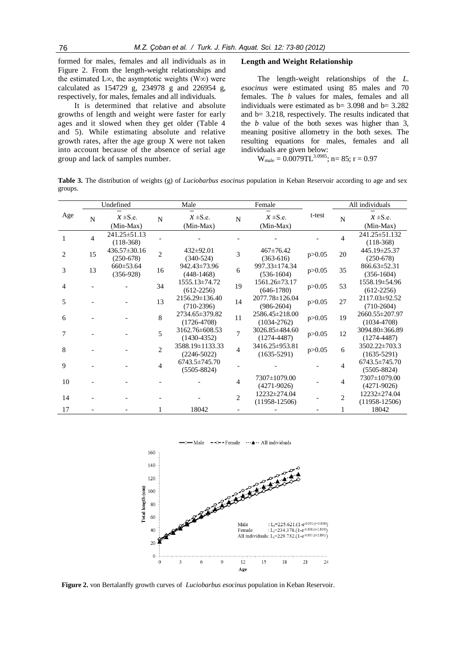formed for males, females and all individuals as in Figure 2. From the length-weight relationships and the estimated L∞, the asymptotic weights (W∞) were calculated as 154729 g, 234978 g and 226954 g, respectively, for males, females and all individuals.

It is determined that relative and absolute growths of length and weight were faster for early ages and it slowed when they get older (Table 4 and 5). While estimating absolute and relative growth rates, after the age group X were not taken into account because of the absence of serial age group and lack of samples number.

### **Length and Weight Relationship**

The length-weight relationships of the *L. esocinus* were estimated using 85 males and 70 females. The *b* values for males, females and all individuals were estimated as  $b=$  3.098 and  $b=$  3.282 and b= 3.218, respectively. The results indicated that the *b* value of the both sexes was higher than 3, meaning positive allometry in the both sexes. The resulting equations for males, females and all individuals are given below:

W<sub>male</sub> =  $0.0079$ TL<sup>3.0985</sup>; n= 85; r = 0.97

**Table 3.** The distribution of weights (g) of *Luciobarbus esocinus* population in Keban Reservoir according to age and sex groups.

|                       |                | Undefined                         |                | Male                                   |                | Female                                  |          | All individuals |                                        |  |
|-----------------------|----------------|-----------------------------------|----------------|----------------------------------------|----------------|-----------------------------------------|----------|-----------------|----------------------------------------|--|
| Age                   | N              | $x \pm S.e.$<br>(Min-Max)         | N              | $x \pm S.e.$<br>(Min-Max)              | N              | $x \pm S.e.$<br>(Min-Max)               | t-test   | N               | $x \pm S.e.$<br>$(Min-Max)$            |  |
|                       | $\overline{4}$ | $241.25 \pm 51.13$<br>$(118-368)$ |                |                                        |                |                                         |          | 4               | 241.25 ± 51.132<br>$(118-368)$         |  |
| $\mathcal{D}_{\cdot}$ | 15             | $436.57 \pm 30.16$<br>$(250-678)$ | $\overline{2}$ | $432 \pm 92.01$<br>$(340-524)$         | 3              | $467 \pm 76.42$<br>$(363-616)$          | p > 0.05 | 20              | 445.19±25.37<br>$(250-678)$            |  |
| 3                     | 13             | $660 \pm 53.64$<br>$(356-928)$    | 16             | 942.43±73.96<br>$(448-1468)$           | 6              | 997.33±174.34<br>$(536-1604)$           | p > 0.05 | 35              | $866.63 \pm 52.31$<br>$(356-1604)$     |  |
| 4                     |                |                                   | 34             | 1555.13 ± 74.72<br>$(612-2256)$        | 19             | 1561.26±73.17<br>$(646-1780)$           | p > 0.05 | 53              | 1558.19±54.96<br>$(612 - 2256)$        |  |
| 5                     |                |                                   | 13             | $2156.29 \pm 136.40$<br>$(710-2396)$   | 14             | 2077.78±126.04<br>$(986 - 2604)$        | p > 0.05 | 27              | 2117.03 ± 92.52<br>$(710-2604)$        |  |
| 6                     |                |                                   | 8              | 2734.65±379.82<br>$(1726 - 4708)$      | 11             | $2586.45 \pm 218.00$<br>$(1034 - 2762)$ | p > 0.05 | 19              | 2660.55±207.97<br>$(1034 - 4708)$      |  |
| 7                     |                |                                   | 5              | $3162.76\pm 608.53$<br>$(1430 - 4352)$ | $\overline{7}$ | 3026.85±484.60<br>$(1274 - 4487)$       | p > 0.05 | 12              | 3094.80±366.89<br>$(1274 - 4487)$      |  |
| 8                     |                |                                   | $\overline{c}$ | 3588.19±1133.33<br>$(2246 - 5022)$     | $\overline{4}$ | 3416.25±953.81<br>$(1635 - 5291)$       | p > 0.05 | 6               | 3502.22±703.3<br>$(1635-5291)$         |  |
| 9                     |                |                                   | 4              | $6743.5 \pm 745.70$<br>$(5505 - 8824)$ |                |                                         |          | 4               | $6743.5 \pm 745.70$<br>$(5505 - 8824)$ |  |
| 10                    |                |                                   |                |                                        | 4              | 7307±1079.00<br>$(4271-9026)$           |          | 4               | 7307±1079.00<br>$(4271 - 9026)$        |  |
| 14                    |                |                                   |                |                                        | $\overline{c}$ | 12232±274.04<br>$(11958-12506)$         |          | $\overline{2}$  | 12232±274.04<br>$(11958-12506)$        |  |
| 17                    |                |                                   |                | 18042                                  |                |                                         |          |                 | 18042                                  |  |

Male  $\rightarrow$  - Female  $\cdots$   $\rightarrow$  All individuals



**Figure 2.** von Bertalanffy growth curves of *Luciobarbus esocinus* population in Keban Reservoir.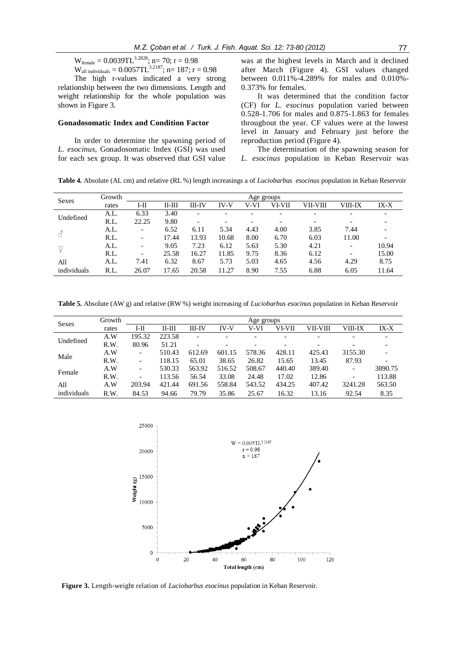$$
W_{\text{female}} = 0.0039 \text{T} L^{3.2828}; n = 70; r = 0.98
$$

 $W_{all~individuals} = 0.0057TL^{3.2187}$ ; n= 187; r = 0.98 The high r-values indicated a very strong relationship between the two dimensions. Length and weight relationship for the whole population was shown in Figure 3.

### **Gonadosomatic Index and Condition Factor**

In order to determine the spawning period of *L. esocinus,* Gonadosomatic Index (GSI) was used for each sex group. It was observed that GSI value

was at the highest levels in March and it declined after March (Figure 4). GSI values changed between 0.011%-4.289% for males and 0.010%- 0.373% for females.

It was determined that the condition factor (CF) for *L. esocinus* population varied between 0.528-1.706 for males and 0.875-1.863 for females throughout the year. CF values were at the lowest level in January and February just before the reproduction period (Figure 4).

The determination of the spawning season for *L. esocinus* population in Keban Reservoir was

**Table 4.** Absolute (AL cm) and relative (RL %) length increasings a of *Luciobarbus esocinus* population in Keban Reservoir

| <b>Sexes</b> | Growth |                          | Age groups |                          |             |                          |                          |                          |                          |       |  |
|--------------|--------|--------------------------|------------|--------------------------|-------------|--------------------------|--------------------------|--------------------------|--------------------------|-------|--|
|              | rates  | I-II                     | ІІ-Ш       | III-IV                   | <b>IV-V</b> | V-VI                     | VI-VII                   | VII-VIII                 | VIII-IX                  | IX-X  |  |
|              | A.L.   | 6.33                     | 3.40       | $\overline{\phantom{0}}$ |             | $\overline{\phantom{0}}$ | $\overline{\phantom{0}}$ | $\overline{\phantom{0}}$ |                          |       |  |
| Undefined    | R.L.   | 22.25                    | 9.80       |                          |             | $\overline{\phantom{0}}$ | $\overline{\phantom{a}}$ |                          |                          |       |  |
|              | A.L.   | $\overline{\phantom{a}}$ | 6.52       | 6.11                     | 5.34        | 4.43                     | 4.00                     | 3.85                     | 7.44                     |       |  |
|              | R.L.   | $\overline{\phantom{0}}$ | 17.44      | 13.93                    | 10.68       | 8.00                     | 6.70                     | 6.03                     | 11.00                    |       |  |
|              | A.L.   |                          | 9.05       | 7.23                     | 6.12        | 5.63                     | 5.30                     | 4.21                     | $\overline{\phantom{a}}$ | 10.94 |  |
|              | R.L.   | $\overline{\phantom{0}}$ | 25.58      | 16.27                    | 11.85       | 9.75                     | 8.36                     | 6.12                     |                          | 15.00 |  |
| All          | A.L.   | 7.41                     | 6.32       | 8.67                     | 5.73        | 5.03                     | 4.65                     | 4.56                     | 4.29                     | 8.75  |  |
| individuals  | R.L.   | 26.07                    | 17.65      | 20.58                    | 11.27       | 8.90                     | 7.55                     | 6.88                     | 6.05                     | 11.64 |  |

**Table 5.** Absolute (AW g) and relative (RW %) weight increasing of *Luciobarbus esocinus* population in Keban Reservoir

| <b>Sexes</b> | Growth | Age groups               |          |        |             |                                                                                                                                                                                                                                                                       |         |        |         |         |  |  |
|--------------|--------|--------------------------|----------|--------|-------------|-----------------------------------------------------------------------------------------------------------------------------------------------------------------------------------------------------------------------------------------------------------------------|---------|--------|---------|---------|--|--|
|              | rates  | I-II                     | $II-III$ | III-IV | <b>IV-V</b> | V-VI<br>VI-VII<br>VII-VIII<br>$\overline{a}$<br>$\overline{\phantom{0}}$<br>$\overline{\phantom{0}}$<br>$\overline{\phantom{0}}$<br>578.36<br>428.11<br>425.43<br>26.82<br>13.45<br>15.65<br>389.40<br>508.67<br>440.40<br>$\qquad \qquad$<br>17.02<br>12.86<br>24.48 | VIII-IX | IX-X   |         |         |  |  |
| Undefined    | A.W    | 195.32                   | 223.58   |        |             |                                                                                                                                                                                                                                                                       |         |        |         |         |  |  |
|              | R.W.   | 80.96                    | 51.21    |        |             |                                                                                                                                                                                                                                                                       |         |        |         |         |  |  |
| Male         | A.W    | -                        | 510.43   | 612.69 | 601.15      |                                                                                                                                                                                                                                                                       |         |        | 3155.30 |         |  |  |
|              | R.W.   | $\overline{\phantom{a}}$ | 118.15   | 65.01  | 38.65       |                                                                                                                                                                                                                                                                       |         |        | 87.93   |         |  |  |
|              | A.W    | $\overline{\phantom{a}}$ | 530.33   | 563.92 | 516.52      |                                                                                                                                                                                                                                                                       |         |        |         | 3890.75 |  |  |
| Female       | R.W.   | $\overline{\phantom{a}}$ | 113.56   | 56.54  | 33.08       |                                                                                                                                                                                                                                                                       |         |        |         | 113.88  |  |  |
| All          | A.W    | 203.94                   | 421.44   | 691.56 | 558.84      | 543.52                                                                                                                                                                                                                                                                | 434.25  | 407.42 | 3241.28 | 563.50  |  |  |
| individuals  | R.W.   | 84.53                    | 94.66    | 79.79  | 35.86       | 25.67                                                                                                                                                                                                                                                                 | 16.32   | 13.16  | 92.54   | 8.35    |  |  |



**Figure 3.** Length-weight relation of *Luciobarbus esocinus* population in Keban Reservoir.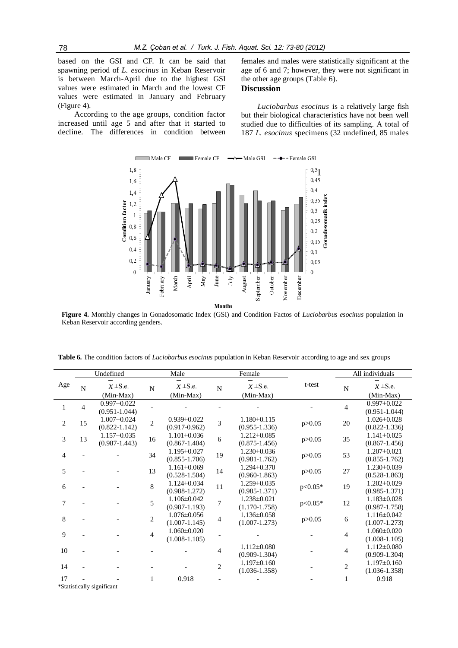based on the GSI and CF. It can be said that spawning period of *L. esocinus* in Keban Reservoir is between March-April due to the highest GSI values were estimated in March and the lowest CF values were estimated in January and February (Figure 4).

According to the age groups, condition factor increased until age 5 and after that it started to decline. The differences in condition between females and males were statistically significant at the age of 6 and 7; however, they were not significant in the other age groups (Table 6).

# **Discussion**

*Luciobarbus esocinus* is a relatively large fish but their biological characteristics have not been well studied due to difficulties of its sampling. A total of 187 *L. esocinus* specimens (32 undefined, 85 males



**Figure 4.** Monthly changes in Gonadosomatic Index (GSI) and Condition Factos of *Luciobarbus esocinus* population in Keban Reservoir according genders.

|                | Undefined      |                                        |                | Male                                   |                | Female                                 |           | All individuals |                                        |  |
|----------------|----------------|----------------------------------------|----------------|----------------------------------------|----------------|----------------------------------------|-----------|-----------------|----------------------------------------|--|
| Age            | N              | $x \pm S.e.$<br>(Min-Max)              | N              | $x \pm S.e.$<br>(Min-Max)              | N              | $x \pm S.e.$<br>(Min-Max)              | t-test    | N               | $x \pm S.e.$<br>(Min-Max)              |  |
| $\mathbf{1}$   | $\overline{4}$ | $0.997 \pm 0.022$<br>$(0.951 - 1.044)$ |                |                                        |                |                                        |           | $\overline{4}$  | $0.997 \pm 0.022$<br>$(0.951 - 1.044)$ |  |
| $\overline{c}$ | 15             | $1.007 \pm 0.024$<br>$(0.822 - 1.142)$ | $\overline{2}$ | $0.939 \pm 0.022$<br>$(0.917 - 0.962)$ | $\overline{3}$ | $1.180 \pm 0.115$<br>$(0.955 - 1.336)$ | p > 0.05  | 20              | $1.026 \pm 0.028$<br>$(0.822 - 1.336)$ |  |
| 3              | 13             | $1.157 \pm 0.035$<br>$(0.987 - 1.443)$ | 16             | $1.101 \pm 0.036$<br>$(0.867 - 1.404)$ | 6              | $1.212 \pm 0.085$<br>$(0.875 - 1.456)$ | p > 0.05  | 35              | $1.141 \pm 0.025$<br>$(0.867 - 1.456)$ |  |
| $\overline{4}$ |                |                                        | 34             | $1.195 \pm 0.027$<br>$(0.855 - 1.706)$ | 19             | $1.230\pm0.036$<br>$(0.981 - 1.762)$   | p > 0.05  | 53              | $1.207 \pm 0.021$<br>$(0.855 - 1.762)$ |  |
| 5              |                |                                        | 13             | $1.161 \pm 0.069$<br>$(0.528 - 1.504)$ | 14             | $1.294 \pm 0.370$<br>$(0.960 - 1.863)$ | p > 0.05  | 27              | $1.230 \pm 0.039$<br>$(0.528 - 1.863)$ |  |
| 6              |                |                                        | $\,8\,$        | $1.124 \pm 0.034$<br>$(0.988 - 1.272)$ | 11             | $1.259 \pm 0.035$<br>$(0.985 - 1.371)$ | $p<0.05*$ | 19              | $1.202 \pm 0.029$<br>$(0.985 - 1.371)$ |  |
| 7              |                |                                        | 5              | $1.106 \pm 0.042$<br>$(0.987 - 1.193)$ | $\overline{7}$ | 1.238±0.021<br>$(1.170 - 1.758)$       | $p<0.05*$ | 12              | $1.183 \pm 0.028$<br>$(0.987 - 1.758)$ |  |
| 8              |                |                                        | $\mathbf{2}$   | $1.076 \pm 0.056$<br>$(1.007 - 1.145)$ | $\overline{4}$ | $1.136 \pm 0.058$<br>$(1.007 - 1.273)$ | p > 0.05  | 6               | $1.116 \pm 0.042$<br>$(1.007 - 1.273)$ |  |
| 9              |                |                                        | $\overline{4}$ | $1.060 \pm 0.020$<br>$(1.008 - 1.105)$ |                |                                        |           | 4               | $1.060 \pm 0.020$<br>$(1.008 - 1.105)$ |  |
| 10             |                |                                        |                |                                        | $\overline{4}$ | $1.112 \pm 0.080$<br>$(0.909 - 1.304)$ |           | $\overline{4}$  | $1.112 \pm 0.080$<br>$(0.909 - 1.304)$ |  |
| 14             |                |                                        |                |                                        | $\overline{2}$ | $1.197\pm0.160$<br>$(1.036 - 1.358)$   |           | $\overline{2}$  | $1.197\pm0.160$<br>$(1.036 - 1.358)$   |  |
| 17             |                | March 2012 - Her at authorize          |                | 0.918                                  |                |                                        |           |                 | 0.918                                  |  |

\*Statistically significant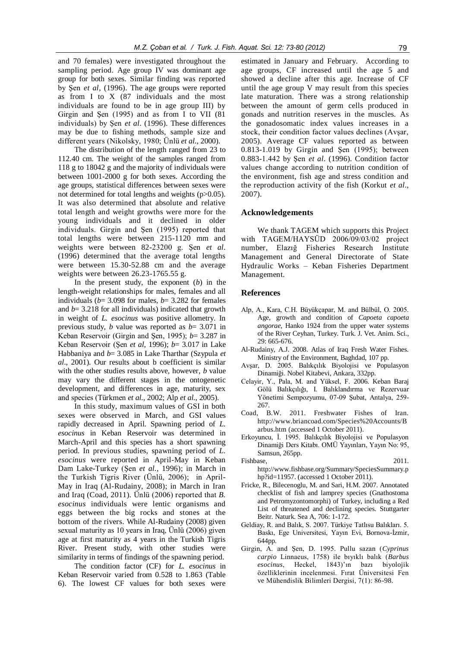and 70 females) were investigated throughout the sampling period. Age group IV was dominant age group for both sexes. Similar finding was reported by Şen *et al*, (1996). The age groups were reported as from I to X (87 individuals and the most individuals are found to be in age group III) by Girgin and Sen  $(1995)$  and as from I to VII  $(81$ individuals) by Sen *et al.* (1996). These differences may be due to fishing methods, sample size and different years (Nikolsky, 1980; Ünlü *et al*., 2000).

The distribution of the length ranged from 23 to 112.40 cm. The weight of the samples ranged from 118 g to 18042 g and the majority of individuals were between 1001-2000 g for both sexes. According the age groups, statistical differences between sexes were not determined for total lengths and weights (p>0.05). It was also determined that absolute and relative total length and weight growths were more for the young individuals and it declined in older individuals. Girgin and Şen (1995) reported that total lengths were between 215-1120 mm and weights were between 82-23200 g. Sen et al. (1996) determined that the average total lengths were between 15.30-52.88 cm and the average weights were between 26.23-1765.55 g.

In the present study, the exponent (*b*) in the length-weight relationships for males, females and all individuals ( $b= 3.098$  for males,  $b= 3.282$  for females and *b*= 3.218 for all individuals) indicated that growth in weight of *L. esocinus* was positive allometry. In previous study, *b* value was reported as *b*= 3.071 in Keban Reservoir (Girgin and Sen, 1995);  $b=3.287$  in Keban Reservoir (Şen *et al*, 1996); *b*= 3.017 in Lake Habbaniya and *b*= 3.085 in Lake Tharthar (Szypula *et al*., 2001). Our results about b coefficient is similar with the other studies results above, however, *b* value may vary the different stages in the ontogenetic development, and differences in age, maturity, sex and species (Türkmen *et al.*, 2002; Alp *et al.*, 2005).

In this study, maximum values of GSI in both sexes were observed in March, and GSI values rapidly decreased in April. Spawning period of *L. esocinus* in Keban Reservoir was determined in March-April and this species has a short spawning period. In previous studies, spawning period of *L. esocinus* were reported in April-May in Keban Dam Lake-Turkey (Sen *et al.*, 1996); in March in the Turkish Tigris River (Ünlü, 2006); in April-May in Iraq (Al-Rudainy, 2008); in March in Iran and Iraq (Coad, 2011). Ünlü (2006) reported that *B. esocinus* individuals were lentic organisms and eggs between the big rocks and stones at the bottom of the rivers. While Al-Rudainy (2008) given sexual maturity as 10 years in Iraq, Ünlü (2006) given age at first maturity as 4 years in the Turkish Tigris River. Present study, with other studies were similarity in terms of findings of the spawning period.

The condition factor (CF) for *L. esocinus* in Keban Reservoir varied from 0.528 to 1.863 (Table 6). The lowest CF values for both sexes were

estimated in January and February. According to age groups, CF increased until the age 5 and showed a decline after this age. Increase of CF until the age group V may result from this species late maturation. There was a strong relationship between the amount of germ cells produced in gonads and nutrition reserves in the muscles. As the gonadosomatic index values increases in a stock, their condition factor values declines (Avsar, 2005). Average CF values reported as between 0.813-1.019 by Girgin and Şen (1995); between 0.883-1.442 by Sen *et al.* (1996). Condition factor values change according to nutrition condition of the environment, fish age and stress condition and the reproduction activity of the fish (Korkut *et al*., 2007).

#### **Acknowledgements**

We thank TAGEM which supports this Project with TAGEM/HAYSÜD 2006/09/03/02 project number, Elazığ Fisheries Research Institute Management and General Directorate of State Hydraulic Works – Keban Fisheries Department Management.

#### **References**

- Alp, A., Kara, C.H. Büyükçapar, M. and Bülbül, O. 2005. Age, growth and condition of *Capoeta capoeta angorae,* Hanko 1924 from the upper water systems of the River Ceyhan, Turkey. Turk. J. Vet. Anim. Sci., 29: 665-676.
- Al-Rudainy, A.J. 2008. Atlas of Iraq Fresh Water Fishes. Ministry of the Environment, Baghdad, 107 pp.
- AvĢar, D. 2005. Balıkçılık Biyolojisi ve Populasyon Dinamiği. Nobel Kitabevi, Ankara, 332pp.
- Celayir, Y., Pala, M. and Yüksel, F. 2006. Keban Baraj Gölü Balıkçılığı, I. Balıklandırma ve Rezervuar Yönetimi Sempozyumu, 07-09 ġubat, Antalya, 259- 267.
- Coad, B.W. 2011. Freshwater Fishes of Iran. http://www.briancoad.com/Species%20Accounts/B arbus.htm (accessed 1 October 2011).
- Erkoyuncu, İ. 1995. Balıkçılık Biyolojisi ve Populasyon Dinamiği Ders Kitabı. OMÜ Yayınları, Yayın No: 95, Samsun, 265pp.
- Fishbase, 2011. http://www.fishbase.org/Summary/SpeciesSummary.p hp?id=11957. (accessed 1 October 2011).
- Fricke, R., Bilecenoglu, M. and Sari, H.M. 2007. Annotated checklist of fish and lamprey species (Gnathostoma and Petromyzontomorphi) of Turkey, including a Red List of threatened and declining species. Stuttgarter Beitr. Naturk. Sea A, 706: 1-172.
- Geldiay, R. and Balık, S. 2007. Türkiye Tatlısu Balıkları. 5. Baskı, Ege Universitesi, Yayın Evi, Bornova-İzmir, 644pp.
- Girgin, A. and Şen, D. 1995. Pullu sazan (Cyprinus *carpio* Linnaeus, 1758) ile bıyıklı balık (*Barbus esocinus*, Heckel, 1843)'ın bazı biyolojik özelliklerinin incelenmesi. Fırat Üniversitesi Fen ve Mühendislik Bilimleri Dergisi, 7(1): 86-98.